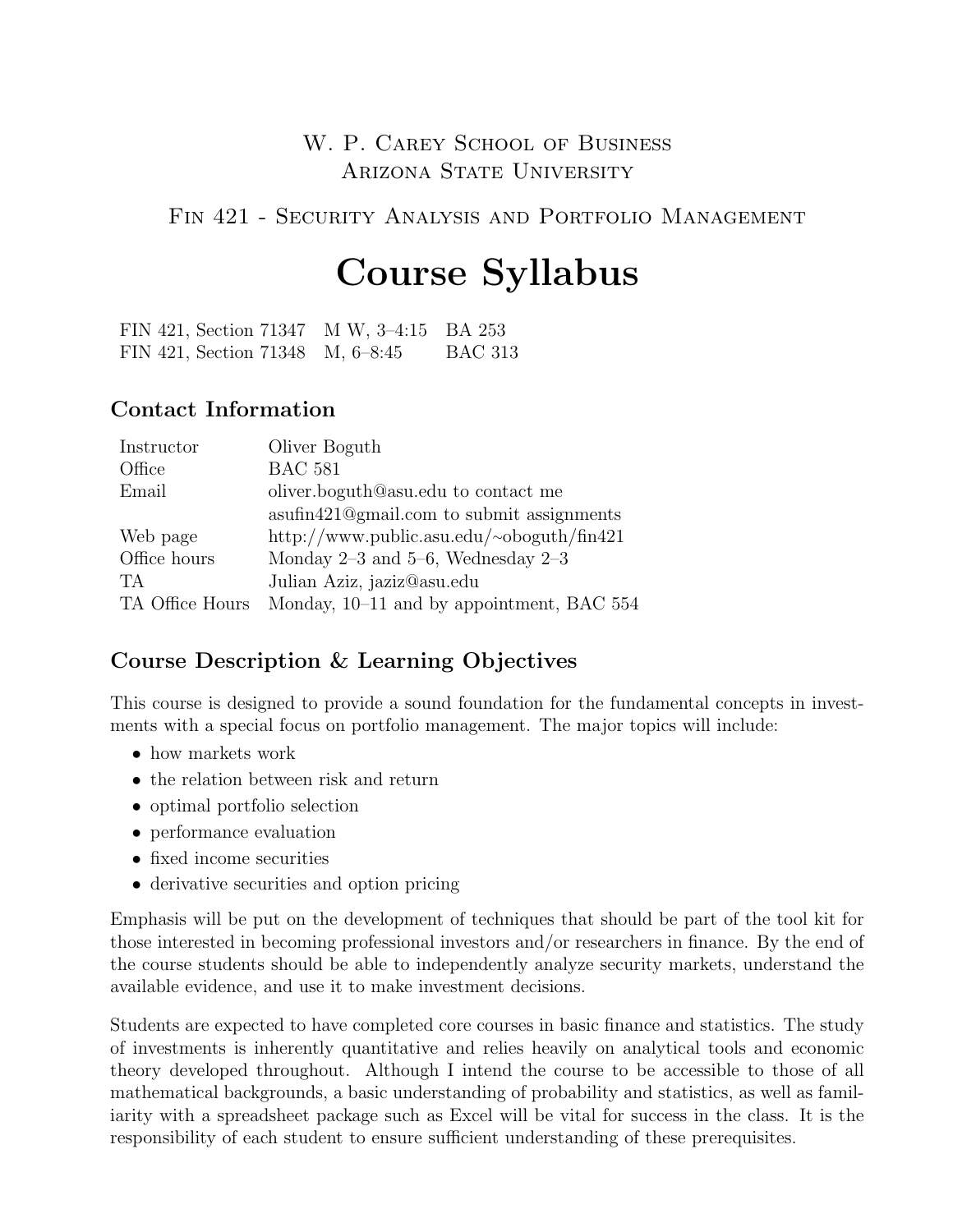# W. P. CAREY SCHOOL OF BUSINESS ARIZONA STATE UNIVERSITY

FIN 421 - SECURITY ANALYSIS AND PORTFOLIO MANAGEMENT

# Course Syllabus

FIN 421, Section 71347 M W, 3–4:15 BA 253 FIN 421, Section 71348 M, 6–8:45 BAC 313

#### Contact Information

| Instructor      | Oliver Boguth                             |
|-----------------|-------------------------------------------|
| Office          | <b>BAC 581</b>                            |
| Email           | oliver.boguth@asu.edu to contact me       |
|                 | asufin421@gmail.com to submit assignments |
| Web page        | http://www.public.asu.edu/~oboguth/fin421 |
| Office hours    | Monday $2-3$ and $5-6$ , Wednesday $2-3$  |
| TA <sup></sup>  | Julian Aziz, jaziz@asu.edu                |
| TA Office Hours | Monday, 10–11 and by appointment, BAC 554 |

## Course Description & Learning Objectives

This course is designed to provide a sound foundation for the fundamental concepts in investments with a special focus on portfolio management. The major topics will include:

- how markets work
- the relation between risk and return
- optimal portfolio selection
- performance evaluation
- fixed income securities
- derivative securities and option pricing

Emphasis will be put on the development of techniques that should be part of the tool kit for those interested in becoming professional investors and/or researchers in finance. By the end of the course students should be able to independently analyze security markets, understand the available evidence, and use it to make investment decisions.

Students are expected to have completed core courses in basic finance and statistics. The study of investments is inherently quantitative and relies heavily on analytical tools and economic theory developed throughout. Although I intend the course to be accessible to those of all mathematical backgrounds, a basic understanding of probability and statistics, as well as familiarity with a spreadsheet package such as Excel will be vital for success in the class. It is the responsibility of each student to ensure sufficient understanding of these prerequisites.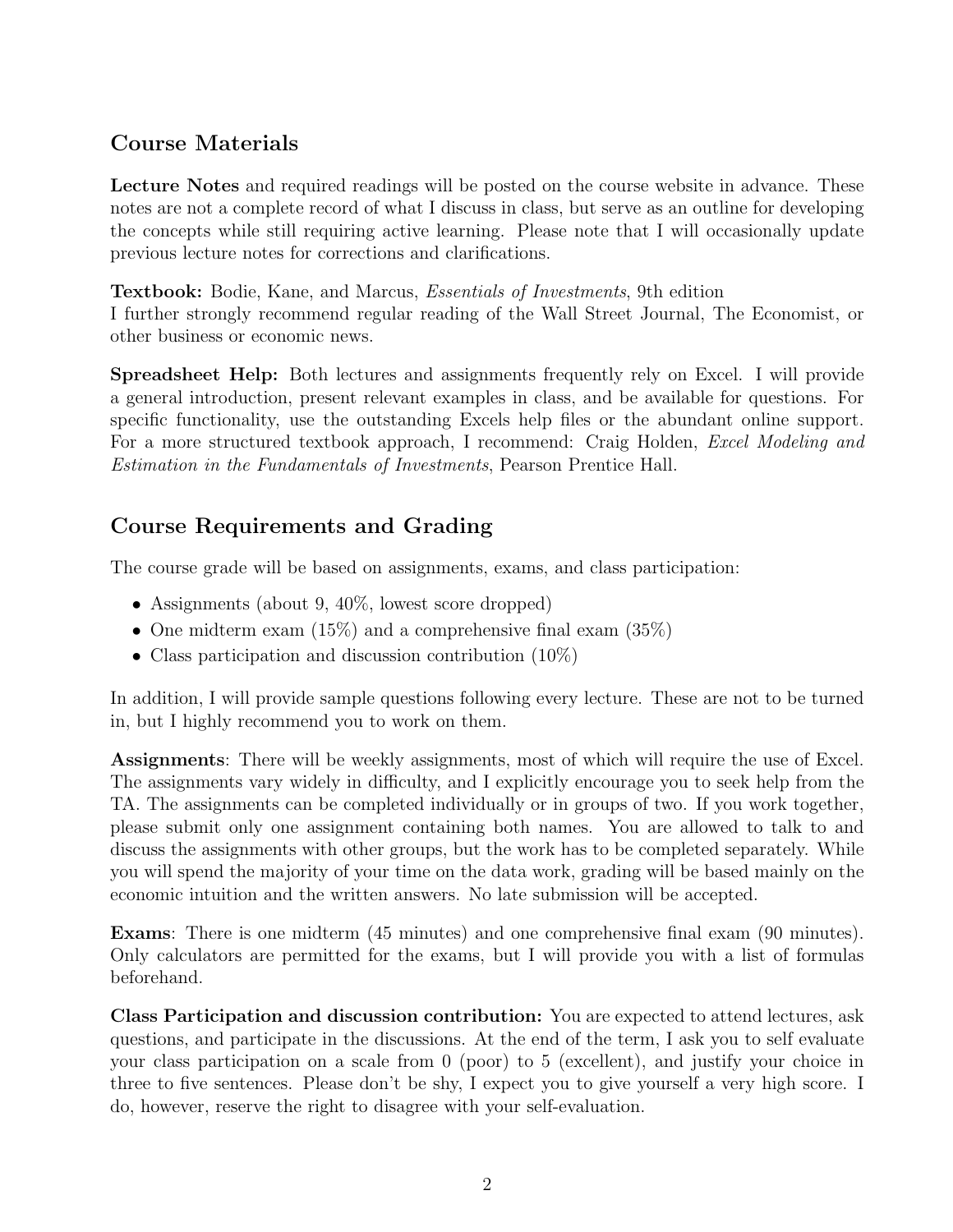## Course Materials

Lecture Notes and required readings will be posted on the course website in advance. These notes are not a complete record of what I discuss in class, but serve as an outline for developing the concepts while still requiring active learning. Please note that I will occasionally update previous lecture notes for corrections and clarifications.

Textbook: Bodie, Kane, and Marcus, Essentials of Investments, 9th edition I further strongly recommend regular reading of the Wall Street Journal, The Economist, or other business or economic news.

Spreadsheet Help: Both lectures and assignments frequently rely on Excel. I will provide a general introduction, present relevant examples in class, and be available for questions. For specific functionality, use the outstanding Excels help files or the abundant online support. For a more structured textbook approach, I recommend: Craig Holden, *Excel Modeling and* Estimation in the Fundamentals of Investments, Pearson Prentice Hall.

# Course Requirements and Grading

The course grade will be based on assignments, exams, and class participation:

- Assignments (about 9, 40\%, lowest score dropped)
- One midterm exam  $(15\%)$  and a comprehensive final exam  $(35\%)$
- Class participation and discussion contribution  $(10\%)$

In addition, I will provide sample questions following every lecture. These are not to be turned in, but I highly recommend you to work on them.

Assignments: There will be weekly assignments, most of which will require the use of Excel. The assignments vary widely in difficulty, and I explicitly encourage you to seek help from the TA. The assignments can be completed individually or in groups of two. If you work together, please submit only one assignment containing both names. You are allowed to talk to and discuss the assignments with other groups, but the work has to be completed separately. While you will spend the majority of your time on the data work, grading will be based mainly on the economic intuition and the written answers. No late submission will be accepted.

Exams: There is one midterm (45 minutes) and one comprehensive final exam (90 minutes). Only calculators are permitted for the exams, but I will provide you with a list of formulas beforehand.

Class Participation and discussion contribution: You are expected to attend lectures, ask questions, and participate in the discussions. At the end of the term, I ask you to self evaluate your class participation on a scale from 0 (poor) to 5 (excellent), and justify your choice in three to five sentences. Please don't be shy, I expect you to give yourself a very high score. I do, however, reserve the right to disagree with your self-evaluation.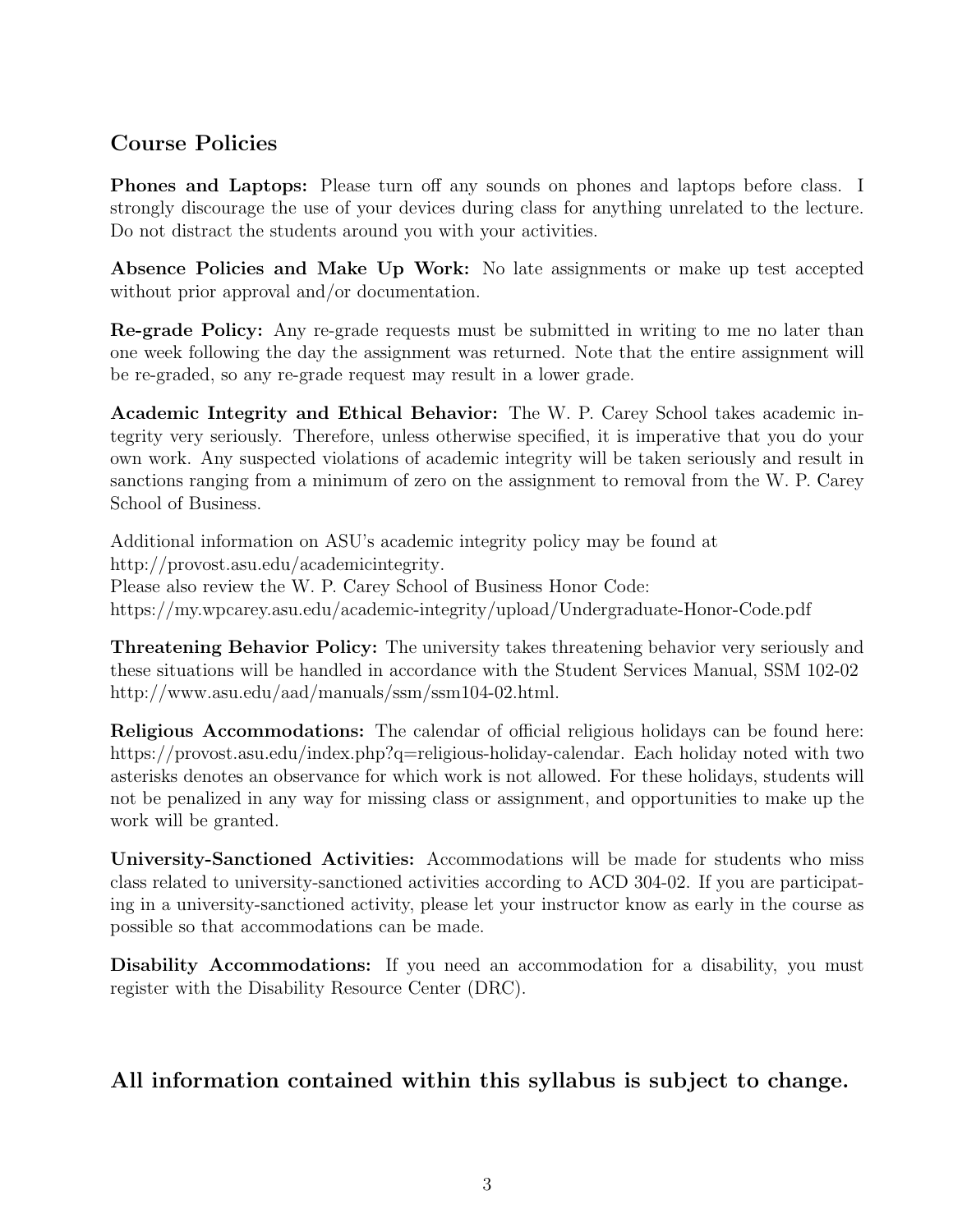## Course Policies

Phones and Laptops: Please turn off any sounds on phones and laptops before class. I strongly discourage the use of your devices during class for anything unrelated to the lecture. Do not distract the students around you with your activities.

Absence Policies and Make Up Work: No late assignments or make up test accepted without prior approval and/or documentation.

Re-grade Policy: Any re-grade requests must be submitted in writing to me no later than one week following the day the assignment was returned. Note that the entire assignment will be re-graded, so any re-grade request may result in a lower grade.

Academic Integrity and Ethical Behavior: The W. P. Carey School takes academic integrity very seriously. Therefore, unless otherwise specified, it is imperative that you do your own work. Any suspected violations of academic integrity will be taken seriously and result in sanctions ranging from a minimum of zero on the assignment to removal from the W. P. Carey School of Business.

Additional information on ASU's academic integrity policy may be found at [http://provost.asu.edu/academicintegrity.](http://provost.asu.edu/academicintegrity) Please also review the W. P. Carey School of Business Honor Code: <https://my.wpcarey.asu.edu/academic-integrity/upload/Undergraduate-Honor-Code.pdf>

Threatening Behavior Policy: The university takes threatening behavior very seriously and these situations will be handled in accordance with the Student Services Manual, SSM 102-02 [http://www.asu.edu/aad/manuals/ssm/ssm104-02.html.](http://www.asu.edu/aad/manuals/ssm/ssm104-02.html)

Religious Accommodations: The calendar of official religious holidays can be found here: [https://provost.asu.edu/index.php?q=religious-holiday-calendar.](https://provost.asu.edu/index.php?q=religious-holiday-calendar) Each holiday noted with two asterisks denotes an observance for which work is not allowed. For these holidays, students will not be penalized in any way for missing class or assignment, and opportunities to make up the work will be granted.

University-Sanctioned Activities: Accommodations will be made for students who miss class related to university-sanctioned activities according to ACD 304-02. If you are participating in a university-sanctioned activity, please let your instructor know as early in the course as possible so that accommodations can be made.

Disability Accommodations: If you need an accommodation for a disability, you must register with the Disability Resource Center (DRC).

## All information contained within this syllabus is subject to change.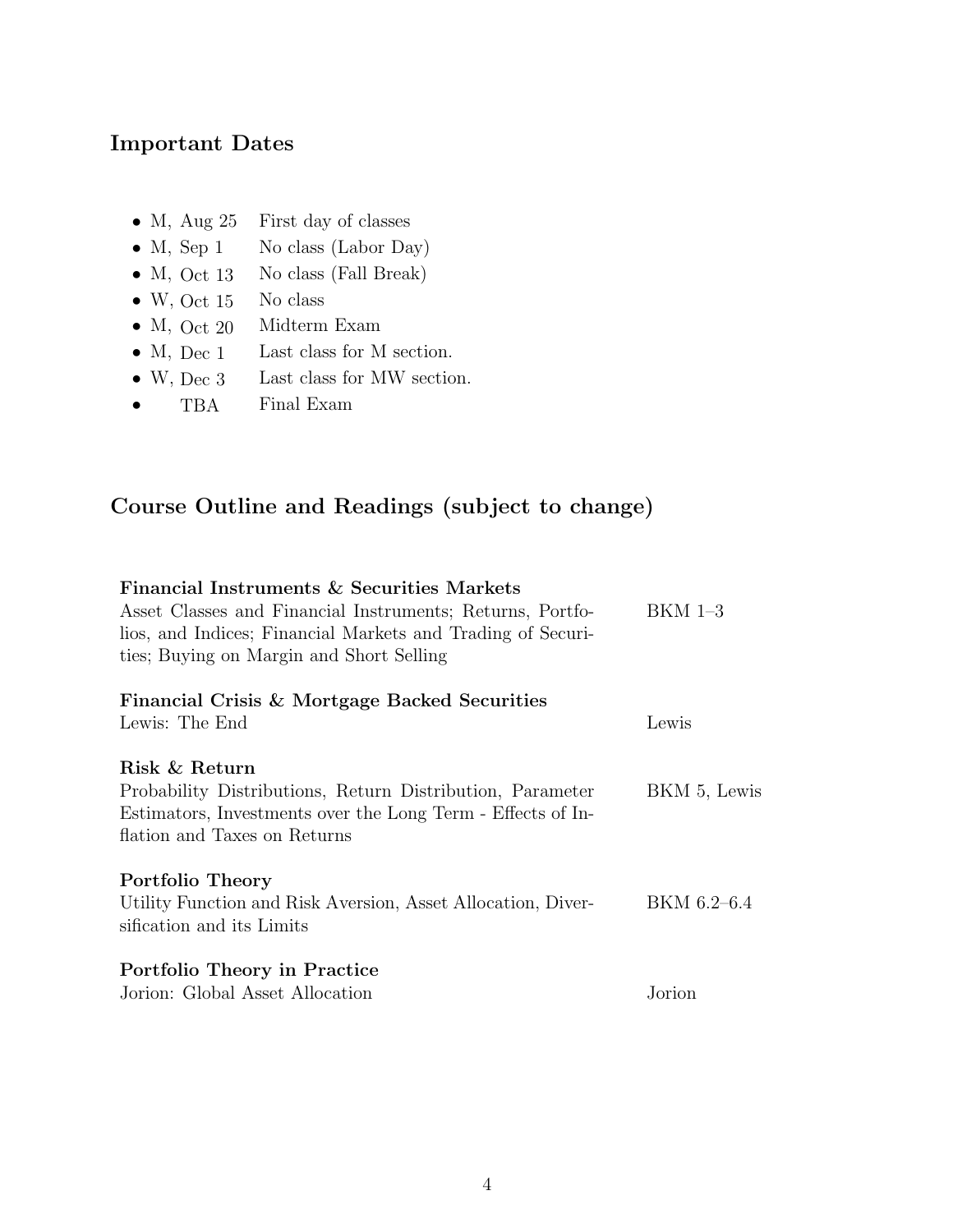#### Important Dates

- M, Aug 25 First day of classes
- M, Sep 1 No class (Labor Day)
- M, Oct 13 No class (Fall Break)
- W, Oct 15 No class
- M, Oct 20 Midterm Exam
- M, Dec 1 Last class for M section.
- W, Dec 3 Last class for MW section.
- TBA Final Exam

# Course Outline and Readings (subject to change)

#### Financial Instruments & Securities Markets Asset Classes and Financial Instruments; Returns, Portfolios, and Indices; Financial Markets and Trading of Securities; Buying on Margin and Short Selling BKM 1–3 Financial Crisis & Mortgage Backed Securities Lewis: The End Lewis Risk & Return Probability Distributions, Return Distribution, Parameter Estimators, Investments over the Long Term - Effects of Inflation and Taxes on Returns BKM 5, Lewis Portfolio Theory Utility Function and Risk Aversion, Asset Allocation, Diversification and its Limits BKM 6.2–6.4 Portfolio Theory in Practice Jorion: Global Asset Allocation Jorion